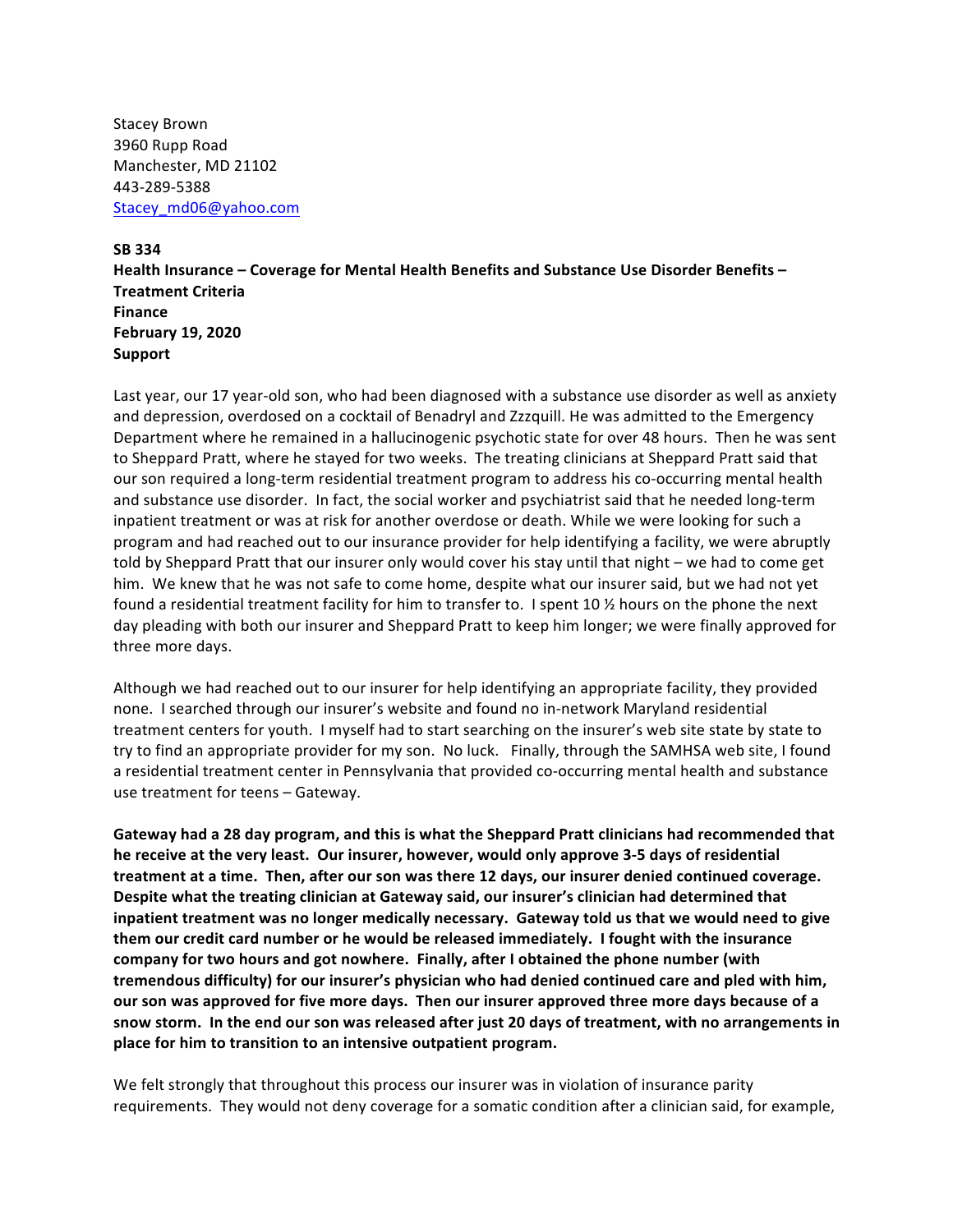Stacey Brown 3960 Rupp Road Manchester, MD 21102 443-289-5388 Stacey\_md06@yahoo.com

## **SB 334**

Health Insurance – Coverage for Mental Health Benefits and Substance Use Disorder Benefits – **Treatment Criteria Finance February 19, 2020 Support**

Last year, our 17 year-old son, who had been diagnosed with a substance use disorder as well as anxiety and depression, overdosed on a cocktail of Benadryl and Zzzquill. He was admitted to the Emergency Department where he remained in a hallucinogenic psychotic state for over 48 hours. Then he was sent to Sheppard Pratt, where he stayed for two weeks. The treating clinicians at Sheppard Pratt said that our son required a long-term residential treatment program to address his co-occurring mental health and substance use disorder. In fact, the social worker and psychiatrist said that he needed long-term inpatient treatment or was at risk for another overdose or death. While we were looking for such a program and had reached out to our insurance provider for help identifying a facility, we were abruptly told by Sheppard Pratt that our insurer only would cover his stay until that night – we had to come get him. We knew that he was not safe to come home, despite what our insurer said, but we had not yet found a residential treatment facility for him to transfer to. I spent 10 % hours on the phone the next day pleading with both our insurer and Sheppard Pratt to keep him longer; we were finally approved for three more days.

Although we had reached out to our insurer for help identifying an appropriate facility, they provided none. I searched through our insurer's website and found no in-network Maryland residential treatment centers for youth. I myself had to start searching on the insurer's web site state by state to try to find an appropriate provider for my son. No luck. Finally, through the SAMHSA web site, I found a residential treatment center in Pennsylvania that provided co-occurring mental health and substance use treatment for teens - Gateway.

**Gateway had a 28 day program, and this is what the Sheppard Pratt clinicians had recommended that** he receive at the very least. Our insurer, however, would only approve 3-5 days of residential treatment at a time. Then, after our son was there 12 days, our insurer denied continued coverage. Despite what the treating clinician at Gateway said, our insurer's clinician had determined that inpatient treatment was no longer medically necessary. Gateway told us that we would need to give them our credit card number or he would be released immediately. I fought with the insurance company for two hours and got nowhere. Finally, after I obtained the phone number (with **tremendous difficulty)** for our insurer's physician who had denied continued care and pled with him, *our* **son was approved for five more days. Then our insurer approved three more days because of a** snow storm. In the end our son was released after just 20 days of treatment, with no arrangements in place for him to transition to an intensive outpatient program.

We felt strongly that throughout this process our insurer was in violation of insurance parity requirements. They would not deny coverage for a somatic condition after a clinician said, for example,